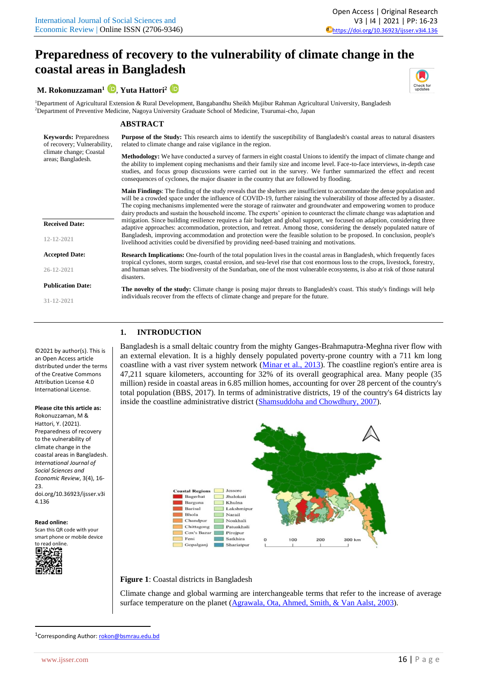# **[Preparedness of recovery to the vulnerability of climate change in the](https://ijsser.com/ijsser/article/view/136)  [coastal areas in Bangladesh](https://ijsser.com/ijsser/article/view/136)**

**M. Rokonuzzaman<sup>1</sup>** , **Yuta Hattori<sup>2</sup>**

<sup>1</sup>Department of Agricultural Extension & Rural Development, Bangabandhu Sheikh Mujibur Rahman Agricultural University, Bangladesh <sup>2</sup>Department of Preventive Medicine, Nagoya University Graduate School of Medicine, Tsurumai-cho, Japan

## **ABSTRACT**

**Keywords:** Preparedness of recovery; Vulnerability, **Purpose of the Study:** This research aims to identify the susceptibility of Bangladesh's coastal areas to natural disasters related to climate change and raise vigilance in the region.

> **Methodology:** We have conducted a survey of farmers in eight coastal Unions to identify the impact of climate change and the ability to implement coping mechanisms and their family size and income level. Face-to-face interviews, in-depth case studies, and focus group discussions were carried out in the survey. We further summarized the effect and recent consequences of cyclones, the major disaster in the country that are followed by flooding.

> **Main Findings**: The finding of the study reveals that the shelters are insufficient to accommodate the dense population and will be a crowded space under the influence of COVID-19, further raising the vulnerability of those affected by a disaster. The coping mechanisms implemented were the storage of rainwater and groundwater and empowering women to produce dairy products and sustain the household income. The experts' opinion to counteract the climate change was adaptation and mitigation. Since building resilience requires a fair budget and global support, we focused on adaption, considering three adaptive approaches: accommodation, protection, and retreat. Among those, considering the densely populated nature of Bangladesh, improving accommodation and protection were the feasible solution to be proposed. In conclusion, people's livelihood activities could be diversified by providing need-based training and motivations.

> **Research Implications:** One-fourth of the total population lives in the coastal areas in Bangladesh, which frequently faces tropical cyclones, storm surges, coastal erosion, and sea-level rise that cost enormous loss to the crops, livestock, forestry, and human selves. The biodiversity of the Sundarban, one of the most vulnerable ecosystems, is also at risk of those natural disasters.

> **The novelty of the study:** Climate change is posing major threats to Bangladesh's coast. This study's findings will help individuals recover from the effects of climate change and prepare for the future.

## **1. INTRODUCTION**

Bangladesh is a small deltaic country from the mighty Ganges-Brahmaputra-Meghna river flow with an external elevation. It is a highly densely populated poverty-prone country with a 711 km long coastline with a vast river system network (Minar [et al., 2013\)](#page-7-0). The coastline region's entire area is 47,211 square kilometers, accounting for 32% of its overall geographical area. Many people (35 million) reside in coastal areas in 6.85 million homes, accounting for over 28 percent of the country's total population (BBS, 2017). In terms of administrative districts, 19 of the country's 64 districts lay inside the coastline administrative district [\(Shamsuddoha and Chowdhury, 2007\)](#page-7-1).



## **Figure 1**: Coastal districts in Bangladesh

Climate change and global warming are interchangeable terms that refer to the increase of average surface temperature on the planet (Agrawala, Ota, Ahmed, Smith, & Van Aalst, 2003).

**31-12-2021** ©2021 by author(s). This is

climate change; Coastal areas; Bangladesh.

**Received Date:** 

**Accepted Date:** 

**Publication Date:**

**12-12-2021**

**26-12-2021**

an Open Access article distributed under the terms of the Creative Commons Attribution License 4.0 International License.

# **Please cite this article as:**

Rokonuzzaman, M & Hattori, Y. (2021). Preparedness of recovery to the vulnerability of climate change in the coastal areas in Bangladesh. *International Journal of Social Sciences and Economic Review*, 3(4), 16- 23. doi.org/10.36923/ijsser.v3i 4.136

**Read online:**

Scan this QR code with your smart phone or mobile device

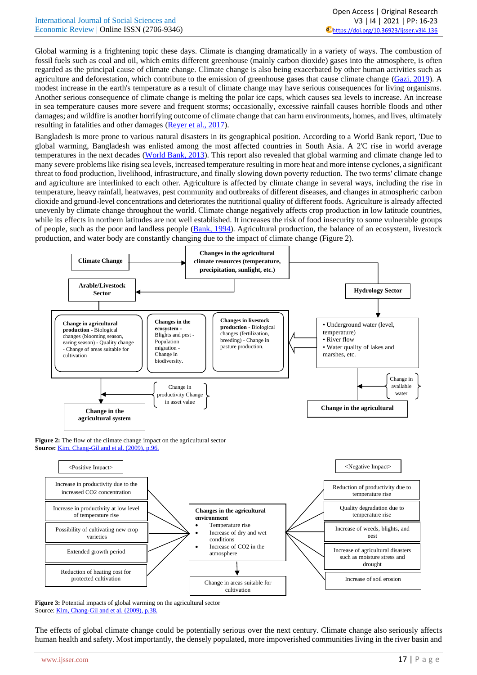|                                              | Open Access   Original Research                           |
|----------------------------------------------|-----------------------------------------------------------|
| International Journal of Social Sciences and | V3   I4   2021   PP: 16-23                                |
| Economic Review   Online ISSN (2706-9346)    | $\ddot{\bullet}$ https://doi.org/10.36923/ijsser.v3i4.136 |

Global warming is a frightening topic these days. Climate is changing dramatically in a variety of ways. The combustion of fossil fuels such as coal and oil, which emits different greenhouse (mainly carbon dioxide) gases into the atmosphere, is often regarded as the principal cause of climate change. Climate change is also being exacerbated by other human activities such as agriculture and deforestation, which contribute to the emission of greenhouse gases that cause climate change [\(Gazi, 2019\)](#page-7-2). A modest increase in the earth's temperature as a result of climate change may have serious consequences for living organisms. Another serious consequence of climate change is melting the polar ice caps, which causes sea levels to increase. An increase in sea temperature causes more severe and frequent storms; occasionally, excessive rainfall causes horrible floods and other damages; and wildfire is another horrifying outcome of climate change that can harm environments, homes, and lives, ultimately resulting in fatalities and other damages [\(Reyer et al., 2017\)](#page-7-3).

Bangladesh is more prone to various natural disasters in its geographical position. According to a World Bank report, 'Due to global warming, Bangladesh was enlisted among the most affected countries in South Asia. A 2'C rise in world average temperatures in the next decades [\(World Bank, 2013\)](#page-7-4). This report also revealed that global warming and climate change led to many severe problems like rising sea levels, increased temperature resulting in more heat and more intense cyclones, a significant threat to food production, livelihood, infrastructure, and finally slowing down poverty reduction. The two terms' climate change and agriculture are interlinked to each other. Agriculture is affected by climate change in several ways, including the rise in temperature, heavy rainfall, heatwaves, pest community and outbreaks of different diseases, and changes in atmospheric carbon dioxide and ground-level concentrations and deteriorates the nutritional quality of different foods. Agriculture is already affected unevenly by climate change throughout the world. Climate change negatively affects crop production in low latitude countries, while its effects in northern latitudes are not well established. It increases the risk of food insecurity to some vulnerable groups of people, such as the poor and landless people [\(Bank, 1994\)](#page-7-4). Agricultural production, the balance of an ecosystem, livestock production, and water body are constantly changing due to the impact of climate change (Figure 2).



**Figure 2:** The flow of the climate change impact on the agricultural sector **Source:** [Kim, Chang-Gil and et al. \(2009\), p.96.](#page-7-5)



**Figure 3:** Potential impacts of global warming on the agricultural sector Source[: Kim, Chang-Gil and et al. \(2009\), p.38.](#page-7-5)

The effects of global climate change could be potentially serious over the next century. Climate change also seriously affects human health and safety. Most importantly, the densely populated, more impoverished communities living in the river basin and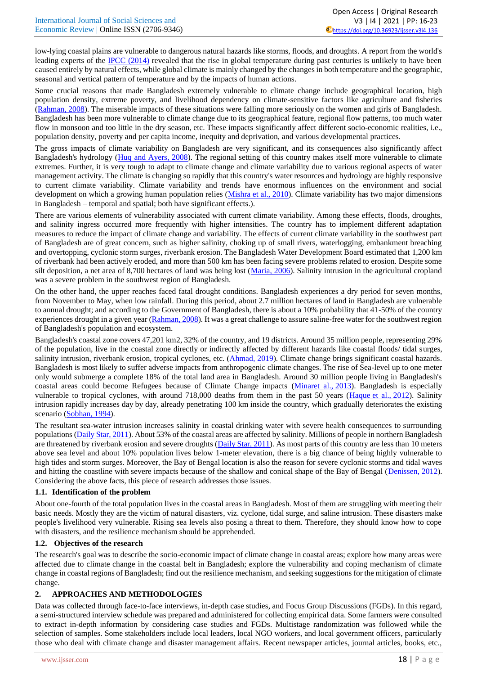low-lying coastal plains are vulnerable to dangerous natural hazards like storms, floods, and droughts. A report from the world's leading experts of the [IPCC \(2014\)](#page-7-6) revealed that the rise in global temperature during past centuries is unlikely to have been caused entirely by natural effects, while global climate is mainly changed by the changes in both temperature and the geographic, seasonal and vertical pattern of temperature and by the impacts of human actions.

Some crucial reasons that made Bangladesh extremely vulnerable to climate change include geographical location, high population density, extreme poverty, and livelihood dependency on climate-sensitive factors like agriculture and fisheries [\(Rahman, 2008\)](#page-7-7). The miserable impacts of these situations were falling more seriously on the women and girls of Bangladesh. Bangladesh has been more vulnerable to climate change due to its geographical feature, regional flow patterns, too much water flow in monsoon and too little in the dry season, etc. These impacts significantly affect different socio-economic realities, i.e., population density, poverty and per capita income, inequity and deprivation, and various developmental practices.

The gross impacts of climate variability on Bangladesh are very significant, and its consequences also significantly affect Bangladesh's hydrology [\(Huq and Ayers, 2008\)](#page-7-8). The regional setting of this country makes itself more vulnerable to climate extremes. Further, it is very tough to adapt to climate change and climate variability due to various regional aspects of water management activity. The climate is changing so rapidly that this country's water resources and hydrology are highly responsive to current climate variability. Climate variability and trends have enormous influences on the environment and social development on which a growing human population relies [\(Mishra](#page-7-9) et al., 2010). Climate variability has two major dimensions in Bangladesh – temporal and spatial; both have significant effects.).

There are various elements of vulnerability associated with current climate variability. Among these effects, floods, droughts, and salinity ingress occurred more frequently with higher intensities. The country has to implement different adaptation measures to reduce the impact of climate change and variability. The effects of current climate variability in the southwest part of Bangladesh are of great concern, such as higher salinity, choking up of small rivers, waterlogging, embankment breaching and overtopping, cyclonic storm surges, riverbank erosion. The Bangladesh Water Development Board estimated that 1,200 km of riverbank had been actively eroded, and more than 500 km has been facing severe problems related to erosion. Despite some silt deposition, a net area of 8,700 hectares of land was being lost (Maria, 2006). Salinity intrusion in the agricultural cropland was a severe problem in the southwest region of Bangladesh.

On the other hand, the upper reaches faced fatal drought conditions. Bangladesh experiences a dry period for seven months, from November to May, when low rainfall. During this period, about 2.7 million hectares of land in Bangladesh are vulnerable to annual drought; and according to the Government of Bangladesh, there is about a 10% probability that 41-50% of the country experiences drought in a given year [\(Rahman, 2008\)](#page-7-7). It was a great challenge to assure saline-free water for the southwest region of Bangladesh's population and ecosystem.

Bangladesh's coastal zone covers 47,201 km2, 32% of the country, and 19 districts. Around 35 million people, representing 29% of the population, live in the coastal zone directly or indirectly affected by different hazards like coastal floods/ tidal surges, salinity intrusion, riverbank erosion, tropical cyclones, etc. [\(Ahmad, 2019\)](#page-7-10). Climate change brings significant coastal hazards. Bangladesh is most likely to suffer adverse impacts from anthropogenic climate changes. The rise of Sea-level up to one meter only would submerge a complete 18% of the total land area in Bangladesh. Around 30 million people living in Bangladesh's coastal areas could become Refugees because of Climate Change impacts [\(Minaret al.,](#page-7-0) 2013). Bangladesh is especially vulnerable to tropical cyclones, with around 718,000 deaths from them in the past 50 years [\(Haque](#page-7-2) et al., 2012). Salinity intrusion rapidly increases day by day, already penetrating 100 km inside the country, which gradually deteriorates the existing scenario [\(Sobhan, 1994\)](#page-7-11).

The resultant sea-water intrusion increases salinity in coastal drinking water with severe health consequences to surrounding populations [\(Daily Star,](#page-7-12) 2011). About 53% of the coastal areas are affected by salinity. Millions of people in northern Bangladesh are threatened by riverbank erosion and severe droughts [\(Daily Star, 2011\)](#page-7-13). As most parts of this country are less than 10 meters above sea level and about 10% population lives below 1-meter elevation, there is a big chance of being highly vulnerable to high tides and storm surges. Moreover, the Bay of Bengal location is also the reason for severe cyclonic storms and tidal waves and hitting the coastline with severe impacts because of the shallow and conical shape of the Bay of Bengal [\(Denissen,](#page-7-14) 2012). Considering the above facts, this piece of research addresses those issues.

## **1.1. Identification of the problem**

About one-fourth of the total population lives in the coastal areas in Bangladesh. Most of them are struggling with meeting their basic needs. Mostly they are the victim of natural disasters, viz. cyclone, tidal surge, and saline intrusion. These disasters make people's livelihood very vulnerable. Rising sea levels also posing a threat to them. Therefore, they should know how to cope with disasters, and the resilience mechanism should be apprehended.

## **1.2. Objectives of the research**

The research's goal was to describe the socio-economic impact of climate change in coastal areas; explore how many areas were affected due to climate change in the coastal belt in Bangladesh; explore the vulnerability and coping mechanism of climate change in coastal regions of Bangladesh; find out the resilience mechanism, and seeking suggestions for the mitigation of climate change.

## **2. APPROACHES AND METHODOLOGIES**

Data was collected through face-to-face interviews, in-depth case studies, and Focus Group Discussions (FGDs). In this regard, a semi-structured interview schedule was prepared and administered for collecting empirical data. Some farmers were consulted to extract in-depth information by considering case studies and FGDs. Multistage randomization was followed while the selection of samples. Some stakeholders include local leaders, local NGO workers, and local government officers, particularly those who deal with climate change and disaster management affairs. Recent newspaper articles, journal articles, books, etc.,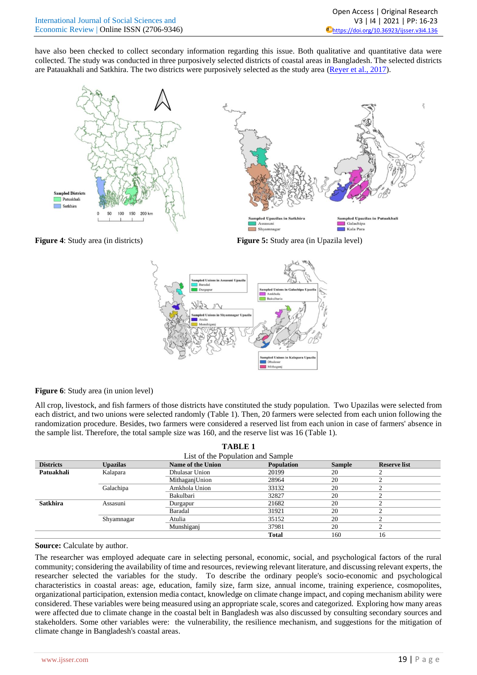have also been checked to collect secondary information regarding this issue. Both qualitative and quantitative data were collected. The study was conducted in three purposively selected districts of coastal areas in Bangladesh. The selected districts are Patauakhali and Satkhira. The two districts were purposively selected as the study area [\(Reyer et al., 2017\)](#page-7-3).



**Figure 4:** Study area (in districts) **Figure 5:** Study area (in Upazila level)



**Figure 6**: Study area (in union level)

All crop, livestock, and fish farmers of those districts have constituted the study population. Two Upazilas were selected from each district, and two unions were selected randomly (Table 1). Then, 20 farmers were selected from each union following the randomization procedure. Besides, two farmers were considered a reserved list from each union in case of farmers' absence in the sample list. Therefore, the total sample size was 160, and the reserve list was 16 (Table 1).

**TABLE 1**

| тарыз т                           |                      |                   |               |                     |    |  |
|-----------------------------------|----------------------|-------------------|---------------|---------------------|----|--|
| List of the Population and Sample |                      |                   |               |                     |    |  |
| <b>Districts</b>                  | <b>Upazilas</b>      | Name of the Union | <b>Sample</b> | <b>Reserve list</b> |    |  |
| Patuakhali                        | Kalapara             | Dhulasar Union    | 20199         | 20                  |    |  |
|                                   |                      | MithaganjUnion    | 28964         | 20                  |    |  |
|                                   | Galachipa            | Amkhola Union     | 33132         | 20                  |    |  |
|                                   |                      | Bakulbari         | 32827         | 20                  |    |  |
| <b>Satkhira</b>                   | Assasuni<br>Durgapur |                   | 21682         | 20                  |    |  |
|                                   |                      | Baradal           | 31921         | 20                  |    |  |
|                                   | Shyamnagar           | Atulia            | 35152         | 20                  |    |  |
|                                   |                      | Munshiganj        | 37981         | 20                  |    |  |
|                                   |                      |                   | <b>Total</b>  | 160                 | 16 |  |

## **Source:** Calculate by author.

The researcher was employed adequate care in selecting personal, economic, social, and psychological factors of the rural community; considering the availability of time and resources, reviewing relevant literature, and discussing relevant experts, the researcher selected the variables for the study. To describe the ordinary people's socio-economic and psychological characteristics in coastal areas: age, education, family size, farm size, annual income, training experience, cosmopolites, organizational participation, extension media contact, knowledge on climate change impact, and coping mechanism ability were considered. These variables were being measured using an appropriate scale, scores and categorized. Exploring how many areas were affected due to climate change in the coastal belt in Bangladesh was also discussed by consulting secondary sources and stakeholders. Some other variables were: the vulnerability, the resilience mechanism, and suggestions for the mitigation of climate change in Bangladesh's coastal areas.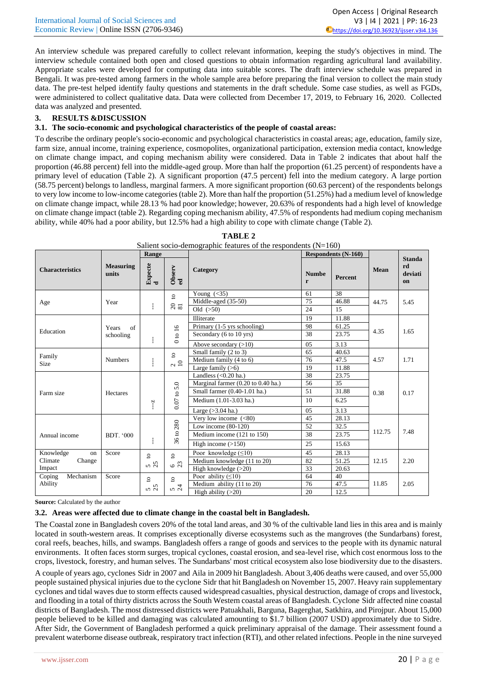|                                              | Open Access   Original Research                           |
|----------------------------------------------|-----------------------------------------------------------|
| International Journal of Social Sciences and | V3   I4   2021   PP: 16-23                                |
| Economic Review   Online ISSN (2706-9346)    | $\ddot{\bullet}$ https://doi.org/10.36923/ijsser.v3i4.136 |

An interview schedule was prepared carefully to collect relevant information, keeping the study's objectives in mind. The interview schedule contained both open and closed questions to obtain information regarding agricultural land availability. Appropriate scales were developed for computing data into suitable scores. The draft interview schedule was prepared in Bengali. It was pre-tested among farmers in the whole sample area before preparing the final version to collect the main study data. The pre-test helped identify faulty questions and statements in the draft schedule. Some case studies, as well as FGDs, were administered to collect qualitative data. Data were collected from December 17, 2019, to February 16, 2020. Collected data was analyzed and presented.

## **3. RESULTS &DISCUSSION**

## **3.1. The socio-economic and psychological characteristics of the people of coastal areas:**

To describe the ordinary people's socio-economic and psychological characteristics in coastal areas; age, education, family size, farm size, annual income, training experience, cosmopolites, organizational participation, extension media contact, knowledge on climate change impact, and coping mechanism ability were considered. Data in Table 2 indicates that about half the proportion (46.88 percent) fell into the middle-aged group. More than half the proportion (61.25 percent) of respondents have a primary level of education (Table 2). A significant proportion (47.5 percent) fell into the medium category. A large portion (58.75 percent) belongs to landless, marginal farmers. A more significant proportion (60.63 percent) of the respondents belongs to very low income to low-income categories (table 2). More than half the proportion (51.25%) had a medium level of knowledge on climate change impact, while 28.13 % had poor knowledge; however, 20.63% of respondents had a high level of knowledge on climate change impact (table 2). Regarding coping mechanism ability, 47.5% of respondents had medium coping mechanism ability, while 40% had a poor ability, but 12.5% had a high ability to cope with climate change (Table 2).

|                        |                           | Range        |                                                      | $\frac{1}{2}$ . The second contract of the responses $\frac{1}{2}$ . |                   | <b>Respondents (N-160)</b> |             |                                      |
|------------------------|---------------------------|--------------|------------------------------------------------------|----------------------------------------------------------------------|-------------------|----------------------------|-------------|--------------------------------------|
| <b>Characteristics</b> | <b>Measuring</b><br>units | Expecte<br>d | Observ<br>ed                                         | Category                                                             | <b>Numbe</b><br>r | Percent                    | <b>Mean</b> | <b>Standa</b><br>rd<br>deviati<br>on |
|                        |                           |              | $\mathbf{S}$                                         | Young $(\leq 35)$                                                    | 61                | 38                         |             |                                      |
| Age                    | Year                      |              |                                                      | Middle-aged (35-50)                                                  | 75                | 46.88                      | 44.75       | 5.45                                 |
|                        |                           | ŧ            | $\phantom{0}2\,\overline{\phantom{0}}\phantom{0}3\,$ | Old $(>50)$                                                          | 24                | 15                         |             |                                      |
|                        |                           |              |                                                      | Illiterate                                                           | 19                | 11.88                      |             |                                      |
| Education              | of<br>Years               |              |                                                      | Primary (1-5 yrs schooling)                                          | 98                | 61.25                      | 4.35        | 1.65                                 |
|                        | schooling                 |              | to $16$                                              | Secondary (6 to 10 yrs)                                              | $\overline{38}$   | 23.75                      |             |                                      |
|                        |                           | ŧ            | $\circ$                                              | Above secondary $(>10)$                                              | 05                | 3.13                       |             |                                      |
|                        | <b>Numbers</b>            |              | $\mathtt{S}$<br>$\sim 10$                            | Small family (2 to 3)                                                | 65                | 40.63                      |             | 1.71                                 |
| Family<br><b>Size</b>  |                           | ŧ            |                                                      | Medium family (4 to 6)                                               | 76                | 47.5                       | 4.57        |                                      |
|                        |                           |              |                                                      | Large family $(>6)$                                                  | 19                | 11.88                      |             |                                      |
|                        |                           |              |                                                      | Landless $(<0.20$ ha.)                                               | 38                | 23.75                      |             |                                      |
|                        |                           |              | 5.0                                                  | Marginal farmer (0.20 to 0.40 ha.)                                   | 56                | 35                         |             |                                      |
| Farm size              | Hectares                  |              |                                                      | Small farmer (0.40-1.01 ha.)                                         | 51                | 31.88                      | 0.38        | 0.17                                 |
|                        |                           | $-7$         | $0.07$ to $3$                                        | Medium (1.01-3.03 ha.)                                               | 10                | 6.25                       |             |                                      |
|                        |                           |              |                                                      | Large $(>3.04$ ha.)                                                  | 05                | 3.13                       |             |                                      |
|                        |                           |              |                                                      | Very low income $(<80)$                                              | 45                | 28.13                      |             |                                      |
|                        |                           |              | 280                                                  | Low income $(80-120)$                                                | 52                | 32.5                       |             |                                      |
| Annual income          | BDT. '000                 |              | $36$ to:                                             | Medium income (121 to 150)                                           | 38                | 23.75                      | 112.75      | 7.48                                 |
|                        |                           | ł            |                                                      | High income $(>150)$                                                 | 25                | 15.63                      |             |                                      |
| Knowledge<br>on        | Score                     | $\mathbf{S}$ | $\overline{\mathbf{c}}$                              | Poor knowledge $(\leq 10)$                                           | 45                | 28.13                      |             |                                      |
| Climate<br>Change      |                           | 5<br>25      | $6\%$                                                | Medium knowledge (11 to 20)                                          | 82                | 51.25                      | 12.15       | 2.20                                 |
| Impact                 |                           |              |                                                      | High knowledge $(>20)$                                               | 33                | 20.63                      |             |                                      |
| Mechanism<br>Coping    | Score                     | $\mathbf{S}$ | $\circ$                                              | Poor ability $( \leq 10)$                                            | 64                | 40                         |             |                                      |
| Ability                |                           | $5\sigma$    | 54                                                   | Medium ability (11 to 20)                                            | 76                | 47.5                       | 11.85       | 2.05                                 |
|                        |                           |              |                                                      | High ability $(>20)$                                                 | 20                | 12.5                       |             |                                      |

**TABLE 2** Salient socio-demographic features of the respondents  $(N=160)$ 

**Source:** Calculated by the author

## **3.2. Areas were affected due to climate change in the coastal belt in Bangladesh.**

The Coastal zone in Bangladesh covers 20% of the total land areas, and 30 % of the cultivable land lies in this area and is mainly located in south-western areas. It comprises exceptionally diverse ecosystems such as the mangroves (the Sundarbans) forest, coral reefs, beaches, hills, and swamps. Bangladesh offers a range of goods and services to the people with its dynamic natural environments. It often faces storm surges, tropical cyclones, coastal erosion, and sea-level rise, which cost enormous loss to the crops, livestock, forestry, and human selves. The Sundarbans' most critical ecosystem also lose biodiversity due to the disasters.

A couple of years ago, cyclones Sidr in 2007 and Aila in 2009 hit Bangladesh. About 3,406 deaths were caused, and over 55,000 people sustained physical injuries due to the cyclone Sidr that hit Bangladesh on November 15, 2007. Heavy rain supplementary cyclones and tidal waves due to storm effects caused widespread casualties, physical destruction, damage of crops and livestock, and flooding in a total of thirty districts across the South Western coastal areas of Bangladesh. Cyclone Sidr affected nine coastal districts of Bangladesh. The most distressed districts were Patuakhali, Barguna, Bagerghat, Satkhira, and Pirojpur. About 15,000 people believed to be killed and damaging was calculated amounting to \$1.7 billion (2007 USD) approximately due to Sidre. After Sidr, the Government of Bangladesh performed a quick preliminary appraisal of the damage. Their assessment found a prevalent waterborne disease outbreak, respiratory tract infection (RTI), and other related infections. People in the nine surveyed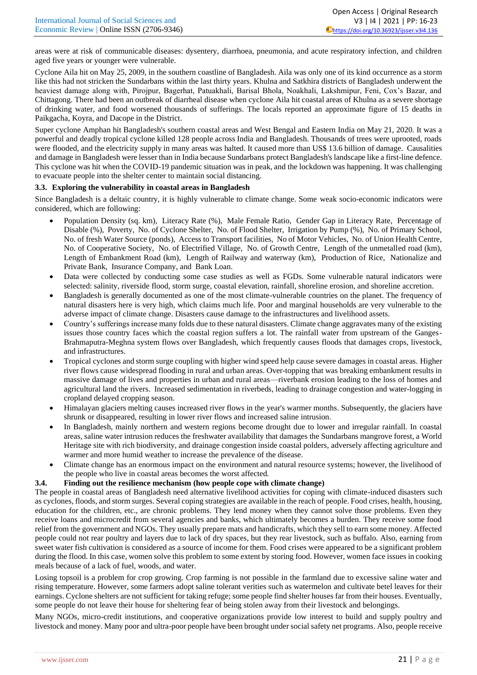areas were at risk of communicable diseases: dysentery, diarrhoea, pneumonia, and acute respiratory infection, and children aged five years or younger were vulnerable.

Cyclone Aila hit on May 25, 2009, in the southern coastline of Bangladesh. Aila was only one of its kind occurrence as a storm like this had not stricken the Sundarbans within the last thirty years. Khulna and Satkhira districts of Bangladesh underwent the heaviest damage along with, Pirojpur, Bagerhat, Patuakhali, Barisal Bhola, Noakhali, Lakshmipur, Feni, Cox's Bazar, and Chittagong. There had been an outbreak of diarrheal disease when cyclone Aila hit coastal areas of Khulna as a severe shortage of drinking water, and food worsened thousands of sufferings. The locals reported an approximate figure of 15 deaths in Paikgacha, Koyra, and Dacope in the District.

Super cyclone Amphan hit Bangladesh's southern coastal areas and West Bengal and Eastern India on May 21, 2020. It was a powerful and deadly tropical cyclone killed 128 people across India and Bangladesh. Thousands of trees were uprooted, roads were flooded, and the electricity supply in many areas was halted. It caused more than US\$ 13.6 billion of damage. Causalities and damage in Bangladesh were lesser than in India because Sundarbans protect Bangladesh's landscape like a first-line defence. This cyclone was hit when the COVID-19 pandemic situation was in peak, and the lockdown was happening. It was challenging to evacuate people into the shelter center to maintain social distancing.

## **3.3. Exploring the vulnerability in coastal areas in Bangladesh**

Since Bangladesh is a deltaic country, it is highly vulnerable to climate change. Some weak socio-economic indicators were considered, which are following:

- Population Density (sq. km), Literacy Rate (%), Male Female Ratio, Gender Gap in Literacy Rate, Percentage of Disable (%), Poverty, No. of Cyclone Shelter, No. of Flood Shelter, Irrigation by Pump (%), No. of Primary School, No. of fresh Water Source (ponds), Access to Transport facilities, No of Motor Vehicles, No. of Union Health Centre, No. of Cooperative Society, No. of Electrified Village, No. of Growth Centre, Length of the unmetalled road (km), Length of Embankment Road (km), Length of Railway and waterway (km), Production of Rice, Nationalize and Private Bank, Insurance Company, and Bank Loan.
- Data were collected by conducting some case studies as well as FGDs. Some vulnerable natural indicators were selected: salinity, riverside flood, storm surge, coastal elevation, rainfall, shoreline erosion, and shoreline accretion.
- Bangladesh is generally documented as one of the most climate-vulnerable countries on the planet. The frequency of natural disasters here is very high, which claims much life. Poor and marginal households are very vulnerable to the adverse impact of climate change. Disasters cause damage to the infrastructures and livelihood assets.
- Country's sufferings increase many folds due to these natural disasters. Climate change aggravates many of the existing issues those country faces which the coastal region suffers a lot. The rainfall water from upstream of the Ganges-Brahmaputra-Meghna system flows over Bangladesh, which frequently causes floods that damages crops, livestock, and infrastructures.
- Tropical cyclones and storm surge coupling with higher wind speed help cause severe damages in coastal areas. Higher river flows cause widespread flooding in rural and urban areas. Over-topping that was breaking embankment results in massive damage of lives and properties in urban and rural areas—riverbank erosion leading to the loss of homes and agricultural land the rivers. Increased sedimentation in riverbeds, leading to drainage congestion and water-logging in cropland delayed cropping season.
- Himalayan glaciers melting causes increased river flows in the year's warmer months. Subsequently, the glaciers have shrunk or disappeared, resulting in lower river flows and increased saline intrusion.
- In Bangladesh, mainly northern and western regions become drought due to lower and irregular rainfall. In coastal areas, saline water intrusion reduces the freshwater availability that damages the Sundarbans mangrove forest, a World Heritage site with rich biodiversity, and drainage congestion inside coastal polders, adversely affecting agriculture and warmer and more humid weather to increase the prevalence of the disease.
- Climate change has an enormous impact on the environment and natural resource systems; however, the livelihood of the people who live in coastal areas becomes the worst affected.

## **3.4. Finding out the resilience mechanism (how people cope with climate change)**

The people in coastal areas of Bangladesh need alternative livelihood activities for coping with climate-induced disasters such as cyclones, floods, and storm surges. Several coping strategies are available in the reach of people. Food crises, health, housing, education for the children, etc., are chronic problems. They lend money when they cannot solve those problems. Even they receive loans and microcredit from several agencies and banks, which ultimately becomes a burden. They receive some food relief from the government and NGOs. They usually prepare mats and handicrafts, which they sell to earn some money. Affected people could not rear poultry and layers due to lack of dry spaces, but they rear livestock, such as buffalo. Also, earning from sweet water fish cultivation is considered as a source of income for them. Food crises were appeared to be a significant problem during the flood. In this case, women solve this problem to some extent by storing food. However, women face issues in cooking meals because of a lack of fuel, woods, and water.

Losing topsoil is a problem for crop growing. Crop farming is not possible in the farmland due to excessive saline water and rising temperature. However, some farmers adopt saline tolerant verities such as watermelon and cultivate betel leaves for their earnings. Cyclone shelters are not sufficient for taking refuge; some people find shelter houses far from their houses. Eventually, some people do not leave their house for sheltering fear of being stolen away from their livestock and belongings.

Many NGOs, micro-credit institutions, and cooperative organizations provide low interest to build and supply poultry and livestock and money. Many poor and ultra-poor people have been brought under social safety net programs. Also, people receive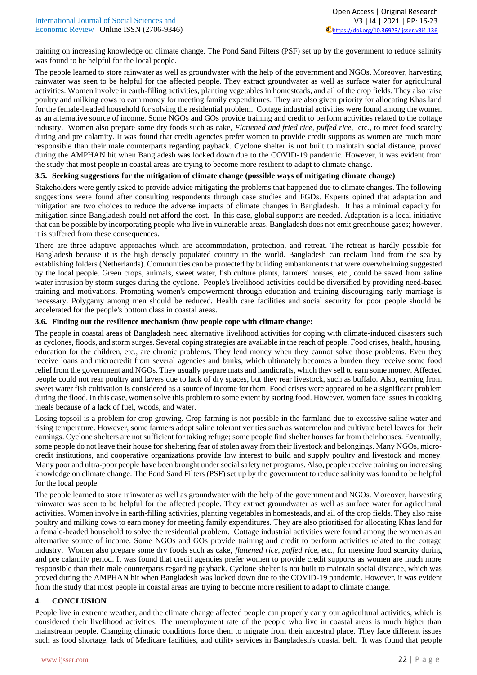training on increasing knowledge on climate change. The Pond Sand Filters (PSF) set up by the government to reduce salinity was found to be helpful for the local people.

The people learned to store rainwater as well as groundwater with the help of the government and NGOs. Moreover, harvesting rainwater was seen to be helpful for the affected people. They extract groundwater as well as surface water for agricultural activities. Women involve in earth-filling activities, planting vegetables in homesteads, and ail of the crop fields. They also raise poultry and milking cows to earn money for meeting family expenditures. They are also given priority for allocating Khas land for the female-headed household for solving the residential problem. Cottage industrial activities were found among the women as an alternative source of income. Some NGOs and GOs provide training and credit to perform activities related to the cottage industry. Women also prepare some dry foods such as cake, *Flattened and fried rice, puffed rice,* etc., to meet food scarcity during and pre calamity. It was found that credit agencies prefer women to provide credit supports as women are much more responsible than their male counterparts regarding payback. Cyclone shelter is not built to maintain social distance, proved during the AMPHAN hit when Bangladesh was locked down due to the COVID-19 pandemic. However, it was evident from the study that most people in coastal areas are trying to become more resilient to adapt to climate change.

#### **3.5. Seeking suggestions for the mitigation of climate change (possible ways of mitigating climate change)**

Stakeholders were gently asked to provide advice mitigating the problems that happened due to climate changes. The following suggestions were found after consulting respondents through case studies and FGDs. Experts opined that adaptation and mitigation are two choices to reduce the adverse impacts of climate changes in Bangladesh. It has a minimal capacity for mitigation since Bangladesh could not afford the cost. In this case, global supports are needed. Adaptation is a local initiative that can be possible by incorporating people who live in vulnerable areas. Bangladesh does not emit greenhouse gases; however, it is suffered from these consequences.

There are three adaptive approaches which are accommodation, protection, and retreat. The retreat is hardly possible for Bangladesh because it is the high densely populated country in the world. Bangladesh can reclaim land from the sea by establishing folders (Netherlands). Communities can be protected by building embankments that were overwhelming suggested by the local people. Green crops, animals, sweet water, fish culture plants, farmers' houses, etc., could be saved from saline water intrusion by storm surges during the cyclone. People's livelihood activities could be diversified by providing need-based training and motivations. Promoting women's empowerment through education and training discouraging early marriage is necessary. Polygamy among men should be reduced. Health care facilities and social security for poor people should be accelerated for the people's bottom class in coastal areas.

## **3.6. Finding out the resilience mechanism (how people cope with climate change:**

The people in coastal areas of Bangladesh need alternative livelihood activities for coping with climate-induced disasters such as cyclones, floods, and storm surges. Several coping strategies are available in the reach of people. Food crises, health, housing, education for the children, etc., are chronic problems. They lend money when they cannot solve those problems. Even they receive loans and microcredit from several agencies and banks, which ultimately becomes a burden they receive some food relief from the government and NGOs. They usually prepare mats and handicrafts, which they sell to earn some money. Affected people could not rear poultry and layers due to lack of dry spaces, but they rear livestock, such as buffalo. Also, earning from sweet water fish cultivation is considered as a source of income for them. Food crises were appeared to be a significant problem during the flood. In this case, women solve this problem to some extent by storing food. However, women face issues in cooking meals because of a lack of fuel, woods, and water.

Losing topsoil is a problem for crop growing. Crop farming is not possible in the farmland due to excessive saline water and rising temperature. However, some farmers adopt saline tolerant verities such as watermelon and cultivate betel leaves for their earnings. Cyclone shelters are not sufficient for taking refuge; some people find shelter houses far from their houses. Eventually, some people do not leave their house for sheltering fear of stolen away from their livestock and belongings. Many NGOs, microcredit institutions, and cooperative organizations provide low interest to build and supply poultry and livestock and money. Many poor and ultra-poor people have been brought under social safety net programs. Also, people receive training on increasing knowledge on climate change. The Pond Sand Filters (PSF) set up by the government to reduce salinity was found to be helpful for the local people.

The people learned to store rainwater as well as groundwater with the help of the government and NGOs. Moreover, harvesting rainwater was seen to be helpful for the affected people. They extract groundwater as well as surface water for agricultural activities. Women involve in earth-filling activities, planting vegetables in homesteads, and ail of the crop fields. They also raise poultry and milking cows to earn money for meeting family expenditures. They are also prioritised for allocating Khas land for a female-headed household to solve the residential problem. Cottage industrial activities were found among the women as an alternative source of income. Some NGOs and GOs provide training and credit to perform activities related to the cottage industry. Women also prepare some dry foods such as cake, *flattened rice, puffed ri*ce, etc., for meeting food scarcity during and pre calamity period. It was found that credit agencies prefer women to provide credit supports as women are much more responsible than their male counterparts regarding payback. Cyclone shelter is not built to maintain social distance, which was proved during the AMPHAN hit when Bangladesh was locked down due to the COVID-19 pandemic. However, it was evident from the study that most people in coastal areas are trying to become more resilient to adapt to climate change.

## **4. CONCLUSION**

People live in extreme weather, and the climate change affected people can properly carry our agricultural activities, which is considered their livelihood activities. The unemployment rate of the people who live in coastal areas is much higher than mainstream people. Changing climatic conditions force them to migrate from their ancestral place. They face different issues such as food shortage, lack of Medicare facilities, and utility services in Bangladesh's coastal belt. It was found that people